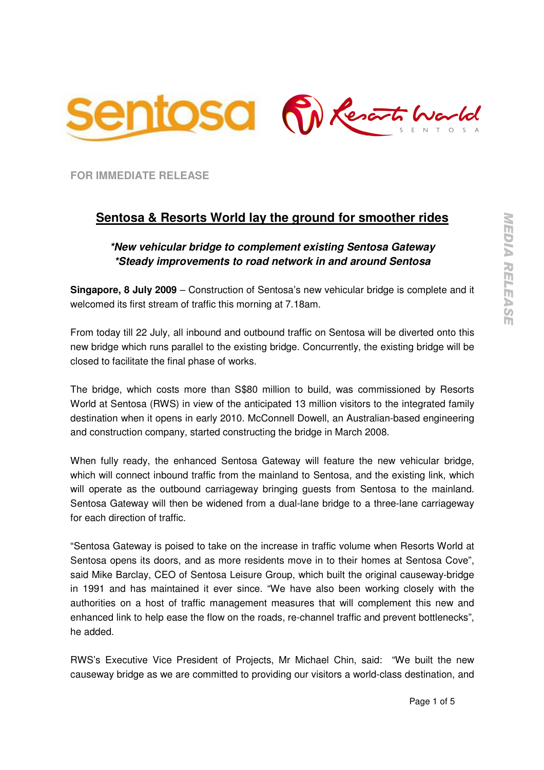

**FOR IMMEDIATE RELEASE** 

# **Sentosa & Resorts World lay the ground for smoother rides**

## **\*New vehicular bridge to complement existing Sentosa Gateway \*Steady improvements to road network in and around Sentosa**

**Singapore, 8 July 2009** – Construction of Sentosa's new vehicular bridge is complete and it welcomed its first stream of traffic this morning at 7.18am.

From today till 22 July, all inbound and outbound traffic on Sentosa will be diverted onto this new bridge which runs parallel to the existing bridge. Concurrently, the existing bridge will be closed to facilitate the final phase of works.

The bridge, which costs more than S\$80 million to build, was commissioned by Resorts World at Sentosa (RWS) in view of the anticipated 13 million visitors to the integrated family destination when it opens in early 2010. McConnell Dowell, an Australian-based engineering and construction company, started constructing the bridge in March 2008.

When fully ready, the enhanced Sentosa Gateway will feature the new vehicular bridge, which will connect inbound traffic from the mainland to Sentosa, and the existing link, which will operate as the outbound carriageway bringing guests from Sentosa to the mainland. Sentosa Gateway will then be widened from a dual-lane bridge to a three-lane carriageway for each direction of traffic.

"Sentosa Gateway is poised to take on the increase in traffic volume when Resorts World at Sentosa opens its doors, and as more residents move in to their homes at Sentosa Cove", said Mike Barclay, CEO of Sentosa Leisure Group, which built the original causeway-bridge in 1991 and has maintained it ever since. "We have also been working closely with the authorities on a host of traffic management measures that will complement this new and enhanced link to help ease the flow on the roads, re-channel traffic and prevent bottlenecks", he added.

RWS's Executive Vice President of Projects, Mr Michael Chin, said: "We built the new causeway bridge as we are committed to providing our visitors a world-class destination, and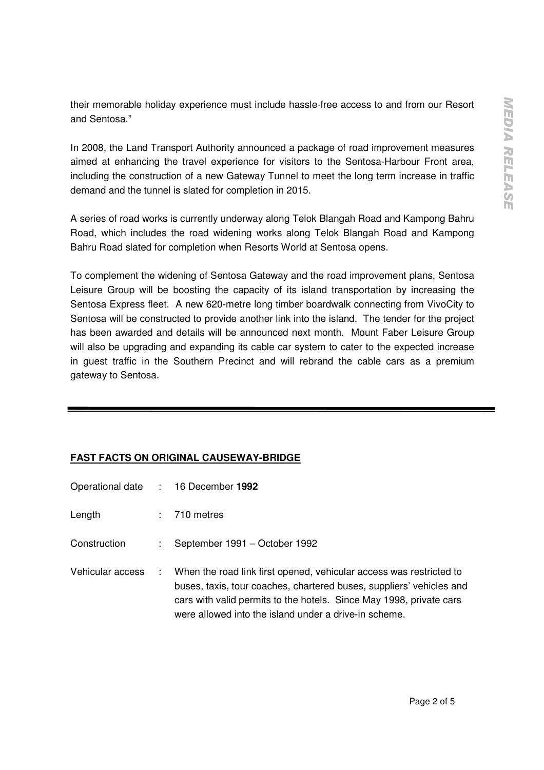their memorable holiday experience must include hassle-free access to and from our Resort and Sentosa."

In 2008, the Land Transport Authority announced a package of road improvement measures aimed at enhancing the travel experience for visitors to the Sentosa-Harbour Front area, including the construction of a new Gateway Tunnel to meet the long term increase in traffic demand and the tunnel is slated for completion in 2015.

A series of road works is currently underway along Telok Blangah Road and Kampong Bahru Road, which includes the road widening works along Telok Blangah Road and Kampong Bahru Road slated for completion when Resorts World at Sentosa opens.

To complement the widening of Sentosa Gateway and the road improvement plans, Sentosa Leisure Group will be boosting the capacity of its island transportation by increasing the Sentosa Express fleet. A new 620-metre long timber boardwalk connecting from VivoCity to Sentosa will be constructed to provide another link into the island. The tender for the project has been awarded and details will be announced next month. Mount Faber Leisure Group will also be upgrading and expanding its cable car system to cater to the expected increase in guest traffic in the Southern Precinct and will rebrand the cable cars as a premium gateway to Sentosa.

## **FAST FACTS ON ORIGINAL CAUSEWAY-BRIDGE**

|                  | Operational date : 16 December 1992                                                                                                                                                                                                                                           |
|------------------|-------------------------------------------------------------------------------------------------------------------------------------------------------------------------------------------------------------------------------------------------------------------------------|
| Length           | $: 710$ metres                                                                                                                                                                                                                                                                |
| Construction     | $\therefore$ September 1991 – October 1992                                                                                                                                                                                                                                    |
| Vehicular access | : When the road link first opened, vehicular access was restricted to<br>buses, taxis, tour coaches, chartered buses, suppliers' vehicles and<br>cars with valid permits to the hotels. Since May 1998, private cars<br>were allowed into the island under a drive-in scheme. |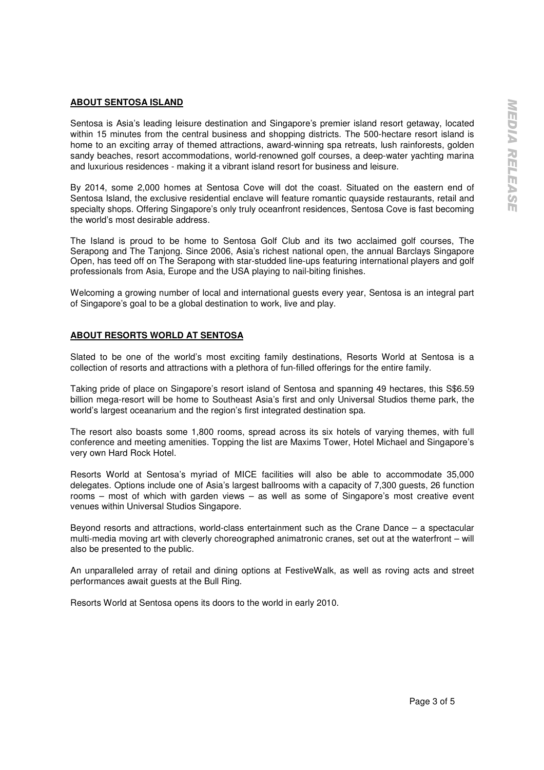### **ABOUT SENTOSA ISLAND**

Sentosa is Asia's leading leisure destination and Singapore's premier island resort getaway, located within 15 minutes from the central business and shopping districts. The 500-hectare resort island is home to an exciting array of themed attractions, award-winning spa retreats, lush rainforests, golden sandy beaches, resort accommodations, world-renowned golf courses, a deep-water yachting marina and luxurious residences - making it a vibrant island resort for business and leisure.

By 2014, some 2,000 homes at Sentosa Cove will dot the coast. Situated on the eastern end of Sentosa Island, the exclusive residential enclave will feature romantic quayside restaurants, retail and specialty shops. Offering Singapore's only truly oceanfront residences, Sentosa Cove is fast becoming the world's most desirable address.

The Island is proud to be home to Sentosa Golf Club and its two acclaimed golf courses, The Serapong and The Tanjong. Since 2006, Asia's richest national open, the annual Barclays Singapore Open, has teed off on The Serapong with star-studded line-ups featuring international players and golf professionals from Asia, Europe and the USA playing to nail-biting finishes.

Welcoming a growing number of local and international guests every year. Sentosa is an integral part of Singapore's goal to be a global destination to work, live and play.

## **ABOUT RESORTS WORLD AT SENTOSA**

Slated to be one of the world's most exciting family destinations, Resorts World at Sentosa is a collection of resorts and attractions with a plethora of fun-filled offerings for the entire family.

Taking pride of place on Singapore's resort island of Sentosa and spanning 49 hectares, this S\$6.59 billion mega-resort will be home to Southeast Asia's first and only Universal Studios theme park, the world's largest oceanarium and the region's first integrated destination spa.

The resort also boasts some 1,800 rooms, spread across its six hotels of varying themes, with full conference and meeting amenities. Topping the list are Maxims Tower, Hotel Michael and Singapore's very own Hard Rock Hotel.

Resorts World at Sentosa's myriad of MICE facilities will also be able to accommodate 35,000 delegates. Options include one of Asia's largest ballrooms with a capacity of 7,300 guests, 26 function rooms – most of which with garden views – as well as some of Singapore's most creative event venues within Universal Studios Singapore.

Beyond resorts and attractions, world-class entertainment such as the Crane Dance – a spectacular multi-media moving art with cleverly choreographed animatronic cranes, set out at the waterfront – will also be presented to the public.

An unparalleled array of retail and dining options at FestiveWalk, as well as roving acts and street performances await guests at the Bull Ring.

Resorts World at Sentosa opens its doors to the world in early 2010.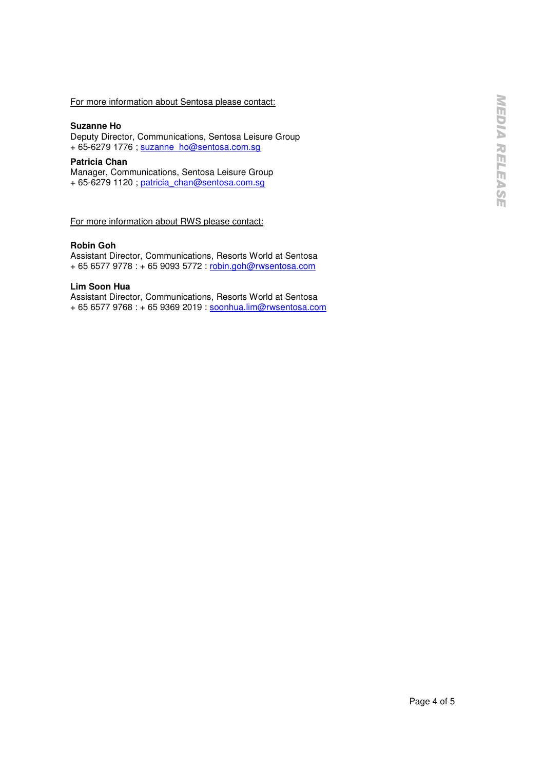### For more information about Sentosa please contact:

#### **Suzanne Ho**

Deputy Director, Communications, Sentosa Leisure Group + 65-6279 1776 ; suzanne\_ho@sentosa.com.sg

#### **Patricia Chan**

Manager, Communications, Sentosa Leisure Group + 65-6279 1120 ; patricia\_chan@sentosa.com.sg

For more information about RWS please contact:

### **Robin Goh**

Assistant Director, Communications, Resorts World at Sentosa + 65 6577 9778 : + 65 9093 5772 : robin.goh@rwsentosa.com

#### **Lim Soon Hua**

Assistant Director, Communications, Resorts World at Sentosa + 65 6577 9768 : + 65 9369 2019 : soonhua.lim@rwsentosa.com